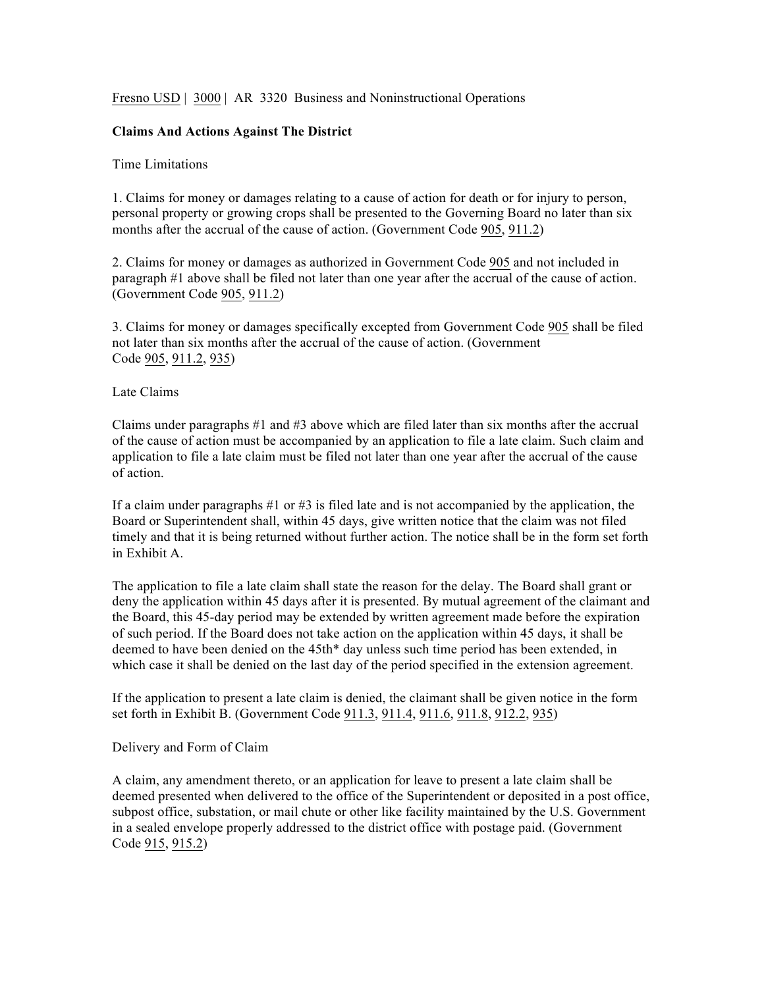Fresno USD | 3000 | AR 3320 Business and Noninstructional Operations

### **Claims And Actions Against The District**

#### Time Limitations

1. Claims for money or damages relating to a cause of action for death or for injury to person, personal property or growing crops shall be presented to the Governing Board no later than six months after the accrual of the cause of action. (Government Code 905, 911.2)

2. Claims for money or damages as authorized in Government Code 905 and not included in paragraph #1 above shall be filed not later than one year after the accrual of the cause of action. (Government Code 905, 911.2)

3. Claims for money or damages specifically excepted from Government Code 905 shall be filed not later than six months after the accrual of the cause of action. (Government Code 905, 911.2, 935)

#### Late Claims

Claims under paragraphs #1 and #3 above which are filed later than six months after the accrual of the cause of action must be accompanied by an application to file a late claim. Such claim and application to file a late claim must be filed not later than one year after the accrual of the cause of action.

If a claim under paragraphs  $\#1$  or  $\#3$  is filed late and is not accompanied by the application, the Board or Superintendent shall, within 45 days, give written notice that the claim was not filed timely and that it is being returned without further action. The notice shall be in the form set forth in Exhibit A.

The application to file a late claim shall state the reason for the delay. The Board shall grant or deny the application within 45 days after it is presented. By mutual agreement of the claimant and the Board, this 45-day period may be extended by written agreement made before the expiration of such period. If the Board does not take action on the application within 45 days, it shall be deemed to have been denied on the 45th\* day unless such time period has been extended, in which case it shall be denied on the last day of the period specified in the extension agreement.

If the application to present a late claim is denied, the claimant shall be given notice in the form set forth in Exhibit B. (Government Code 911.3, 911.4, 911.6, 911.8, 912.2, 935)

#### Delivery and Form of Claim

A claim, any amendment thereto, or an application for leave to present a late claim shall be deemed presented when delivered to the office of the Superintendent or deposited in a post office, subpost office, substation, or mail chute or other like facility maintained by the U.S. Government in a sealed envelope properly addressed to the district office with postage paid. (Government Code 915, 915.2)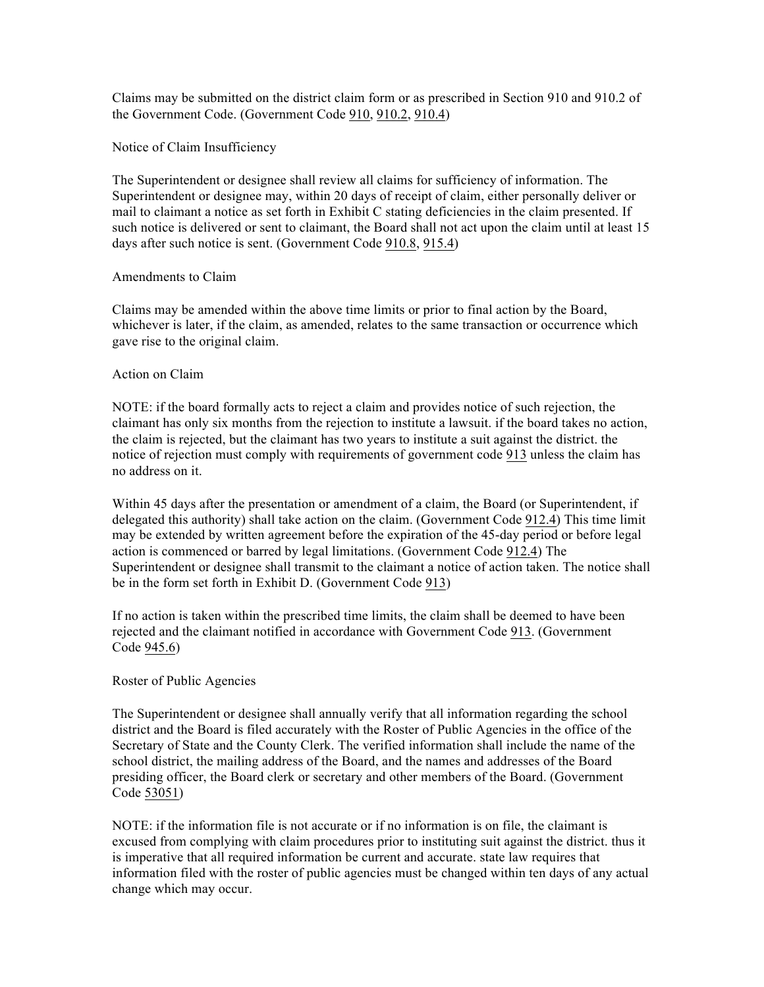Claims may be submitted on the district claim form or as prescribed in Section 910 and 910.2 of the Government Code. (Government Code 910, 910.2, 910.4)

Notice of Claim Insufficiency

The Superintendent or designee shall review all claims for sufficiency of information. The Superintendent or designee may, within 20 days of receipt of claim, either personally deliver or mail to claimant a notice as set forth in Exhibit C stating deficiencies in the claim presented. If such notice is delivered or sent to claimant, the Board shall not act upon the claim until at least 15 days after such notice is sent. (Government Code 910.8, 915.4)

## Amendments to Claim

Claims may be amended within the above time limits or prior to final action by the Board, whichever is later, if the claim, as amended, relates to the same transaction or occurrence which gave rise to the original claim.

## Action on Claim

NOTE: if the board formally acts to reject a claim and provides notice of such rejection, the claimant has only six months from the rejection to institute a lawsuit. if the board takes no action, the claim is rejected, but the claimant has two years to institute a suit against the district. the notice of rejection must comply with requirements of government code 913 unless the claim has no address on it.

Within 45 days after the presentation or amendment of a claim, the Board (or Superintendent, if delegated this authority) shall take action on the claim. (Government Code 912.4) This time limit may be extended by written agreement before the expiration of the 45-day period or before legal action is commenced or barred by legal limitations. (Government Code 912.4) The Superintendent or designee shall transmit to the claimant a notice of action taken. The notice shall be in the form set forth in Exhibit D. (Government Code 913)

If no action is taken within the prescribed time limits, the claim shall be deemed to have been rejected and the claimant notified in accordance with Government Code 913. (Government Code 945.6)

## Roster of Public Agencies

The Superintendent or designee shall annually verify that all information regarding the school district and the Board is filed accurately with the Roster of Public Agencies in the office of the Secretary of State and the County Clerk. The verified information shall include the name of the school district, the mailing address of the Board, and the names and addresses of the Board presiding officer, the Board clerk or secretary and other members of the Board. (Government Code 53051)

NOTE: if the information file is not accurate or if no information is on file, the claimant is excused from complying with claim procedures prior to instituting suit against the district. thus it is imperative that all required information be current and accurate. state law requires that information filed with the roster of public agencies must be changed within ten days of any actual change which may occur.